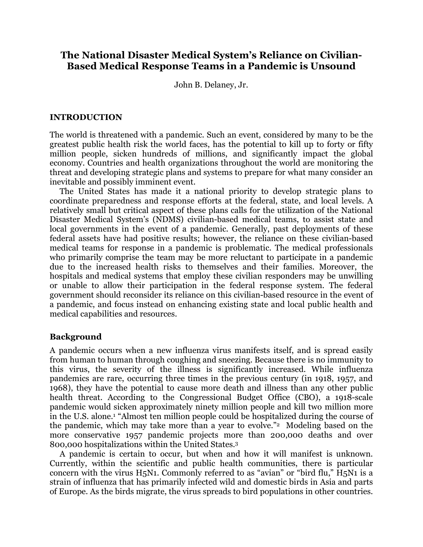# **The National Disaster Medical System's Reliance on Civilian-Based Medical Response Teams in a Pandemic is Unsound**

John B. Delaney, Jr.

## **INTRODUCTION**

The world is threatened with a pandemic. Such an event, considered by many to be the greatest public health risk the world faces, has the potential to kill up to forty or fifty million people, sicken hundreds of millions, and significantly impact the global economy. Countries and health organizations throughout the world are monitoring the threat and developing strategic plans and systems to prepare for what many consider an inevitable and possibly imminent event.

The United States has made it a national priority to develop strategic plans to coordinate preparedness and response efforts at the federal, state, and local levels. A relatively small but critical aspect of these plans calls for the utilization of the National Disaster Medical System's (NDMS) civilian-based medical teams, to assist state and local governments in the event of a pandemic. Generally, past deployments of these federal assets have had positive results; however, the reliance on these civilian-based medical teams for response in a pandemic is problematic. The medical professionals who primarily comprise the team may be more reluctant to participate in a pandemic due to the increased health risks to themselves and their families. Moreover, the hospitals and medical systems that employ these civilian responders may be unwilling or unable to allow their participation in the federal response system. The federal government should reconsider its reliance on this civilian-based resource in the event of a pandemic, and focus instead on enhancing existing state and local public health and medical capabilities and resources.

## **Background**

A pandemic occurs when a new influenza virus manifests itself, and is spread easily from human to human through coughing and sneezing. Because there is no immunity to this virus, the severity of the illness is significantly increased. While influenza pandemics are rare, occurring three times in the previous century (in 1918, 1957, and 1968), they have the potential to cause more death and illness than any other public health threat. According to the Congressional Budget Office (CBO), a 1918-scale pandemic would sicken approximately ninety million people and kill two million more in the U.S. alone.1 "Almost ten million people could be hospitalized during the course of the pandemic, which may take more than a year to evolve."2 Modeling based on the more conservative 1957 pandemic projects more than 200,000 deaths and over 800,000 hospitalizations within the United States.3

A pandemic is certain to occur, but when and how it will manifest is unknown. Currently, within the scientific and public health communities, there is particular concern with the virus H5N1. Commonly referred to as "avian" or "bird flu," H5N1 is a strain of influenza that has primarily infected wild and domestic birds in Asia and parts of Europe. As the birds migrate, the virus spreads to bird populations in other countries.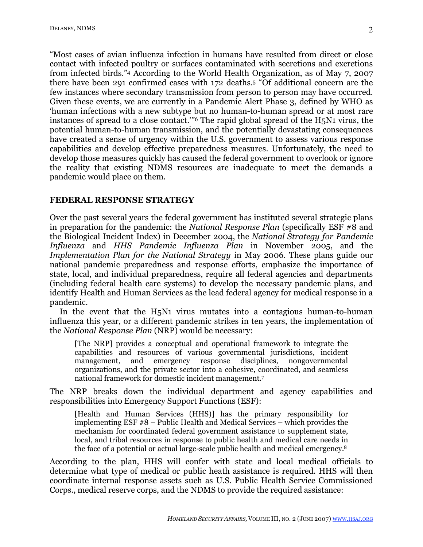"Most cases of avian influenza infection in humans have resulted from direct or close contact with infected poultry or surfaces contaminated with secretions and excretions from infected birds."4 According to the World Health Organization, as of May 7, 2007 there have been 291 confirmed cases with 172 deaths.5 "Of additional concern are the few instances where secondary transmission from person to person may have occurred. Given these events, we are currently in a Pandemic Alert Phase 3, defined by WHO as 'human infections with a new subtype but no human-to-human spread or at most rare instances of spread to a close contact.'"6 The rapid global spread of the H5N1 virus, the potential human-to-human transmission, and the potentially devastating consequences have created a sense of urgency within the U.S. government to assess various response capabilities and develop effective preparedness measures. Unfortunately, the need to develop those measures quickly has caused the federal government to overlook or ignore the reality that existing NDMS resources are inadequate to meet the demands a pandemic would place on them.

#### **FEDERAL RESPONSE STRATEGY**

Over the past several years the federal government has instituted several strategic plans in preparation for the pandemic: the *National Response Plan* (specifically ESF #8 and the Biological Incident Index) in December 2004, the *National Strategy for Pandemic Influenza* and *HHS Pandemic Influenza Plan* in November 2005, and the *Implementation Plan for the National Strategy* in May 2006. These plans guide our national pandemic preparedness and response efforts, emphasize the importance of state, local, and individual preparedness, require all federal agencies and departments (including federal health care systems) to develop the necessary pandemic plans, and identify Health and Human Services as the lead federal agency for medical response in a pandemic.

In the event that the H5N1 virus mutates into a contagious human-to-human influenza this year, or a different pandemic strikes in ten years, the implementation of the *National Response Plan* (NRP) would be necessary:

[The NRP] provides a conceptual and operational framework to integrate the capabilities and resources of various governmental jurisdictions, incident management, and emergency response disciplines, nongovernmental organizations, and the private sector into a cohesive, coordinated, and seamless national framework for domestic incident management.7

The NRP breaks down the individual department and agency capabilities and responsibilities into Emergency Support Functions (ESF):

[Health and Human Services (HHS)] has the primary responsibility for implementing ESF #8 – Public Health and Medical Services – which provides the mechanism for coordinated federal government assistance to supplement state, local, and tribal resources in response to public health and medical care needs in the face of a potential or actual large-scale public health and medical emergency. 8

According to the plan, HHS will confer with state and local medical officials to determine what type of medical or public heath assistance is required. HHS will then coordinate internal response assets such as U.S. Public Health Service Commissioned Corps., medical reserve corps, and the NDMS to provide the required assistance: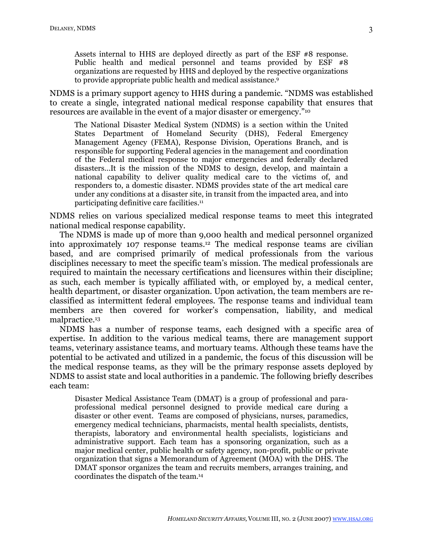Assets internal to HHS are deployed directly as part of the ESF #8 response. Public health and medical personnel and teams provided by ESF #8 organizations are requested by HHS and deployed by the respective organizations to provide appropriate public health and medical assistance. 9

NDMS is a primary support agency to HHS during a pandemic. "NDMS was established to create a single, integrated national medical response capability that ensures that resources are available in the event of a major disaster or emergency."10

The National Disaster Medical System (NDMS) is a section within the United States Department of Homeland Security (DHS), Federal Emergency Management Agency (FEMA), Response Division, Operations Branch, and is responsible for supporting Federal agencies in the management and coordination of the Federal medical response to major emergencies and federally declared disasters…It is the mission of the NDMS to design, develop, and maintain a national capability to deliver quality medical care to the victims of, and responders to, a domestic disaster. NDMS provides state of the art medical care under any conditions at a disaster site, in transit from the impacted area, and into participating definitive care facilities. 11

NDMS relies on various specialized medical response teams to meet this integrated national medical response capability.

The NDMS is made up of more than 9,000 health and medical personnel organized into approximately 107 response teams.12 The medical response teams are civilian based, and are comprised primarily of medical professionals from the various disciplines necessary to meet the specific team's mission. The medical professionals are required to maintain the necessary certifications and licensures within their discipline; as such, each member is typically affiliated with, or employed by, a medical center, health department, or disaster organization. Upon activation, the team members are reclassified as intermittent federal employees. The response teams and individual team members are then covered for worker's compensation, liability, and medical malpractice.13

NDMS has a number of response teams, each designed with a specific area of expertise. In addition to the various medical teams, there are management support teams, veterinary assistance teams, and mortuary teams. Although these teams have the potential to be activated and utilized in a pandemic, the focus of this discussion will be the medical response teams, as they will be the primary response assets deployed by NDMS to assist state and local authorities in a pandemic. The following briefly describes each team:

Disaster Medical Assistance Team (DMAT) is a group of professional and paraprofessional medical personnel designed to provide medical care during a disaster or other event. Teams are composed of physicians, nurses, paramedics, emergency medical technicians, pharmacists, mental health specialists, dentists, therapists, laboratory and environmental health specialists, logisticians and administrative support. Each team has a sponsoring organization, such as a major medical center, public health or safety agency, non-profit, public or private organization that signs a Memorandum of Agreement (MOA) with the DHS. The DMAT sponsor organizes the team and recruits members, arranges training, and coordinates the dispatch of the team. 14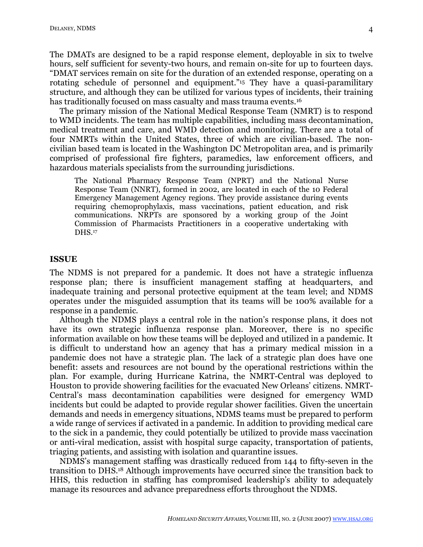The DMATs are designed to be a rapid response element, deployable in six to twelve hours, self sufficient for seventy-two hours, and remain on-site for up to fourteen days. "DMAT services remain on site for the duration of an extended response, operating on a rotating schedule of personnel and equipment."15 They have a quasi-paramilitary structure, and although they can be utilized for various types of incidents, their training has traditionally focused on mass casualty and mass trauma events.<sup>16</sup>

The primary mission of the National Medical Response Team (NMRT) is to respond to WMD incidents. The team has multiple capabilities, including mass decontamination, medical treatment and care, and WMD detection and monitoring. There are a total of four NMRTs within the United States, three of which are civilian-based. The noncivilian based team is located in the Washington DC Metropolitan area, and is primarily comprised of professional fire fighters, paramedics, law enforcement officers, and hazardous materials specialists from the surrounding jurisdictions.

The National Pharmacy Response Team (NPRT) and the National Nurse Response Team (NNRT), formed in 2002, are located in each of the 10 Federal Emergency Management Agency regions. They provide assistance during events requiring chemoprophylaxis, mass vaccinations, patient education, and risk communications. NRPTs are sponsored by a working group of the Joint Commission of Pharmacists Practitioners in a cooperative undertaking with DHS.17

#### **ISSUE**

The NDMS is not prepared for a pandemic. It does not have a strategic influenza response plan; there is insufficient management staffing at headquarters, and inadequate training and personal protective equipment at the team level; and NDMS operates under the misguided assumption that its teams will be 100% available for a response in a pandemic.

Although the NDMS plays a central role in the nation's response plans, it does not have its own strategic influenza response plan. Moreover, there is no specific information available on how these teams will be deployed and utilized in a pandemic. It is difficult to understand how an agency that has a primary medical mission in a pandemic does not have a strategic plan. The lack of a strategic plan does have one benefit: assets and resources are not bound by the operational restrictions within the plan. For example, during Hurricane Katrina, the NMRT-Central was deployed to Houston to provide showering facilities for the evacuated New Orleans' citizens. NMRT-Central's mass decontamination capabilities were designed for emergency WMD incidents but could be adapted to provide regular shower facilities. Given the uncertain demands and needs in emergency situations, NDMS teams must be prepared to perform a wide range of services if activated in a pandemic. In addition to providing medical care to the sick in a pandemic, they could potentially be utilized to provide mass vaccination or anti-viral medication, assist with hospital surge capacity, transportation of patients, triaging patients, and assisting with isolation and quarantine issues.

NDMS's management staffing was drastically reduced from 144 to fifty-seven in the transition to DHS.18 Although improvements have occurred since the transition back to HHS, this reduction in staffing has compromised leadership's ability to adequately manage its resources and advance preparedness efforts throughout the NDMS.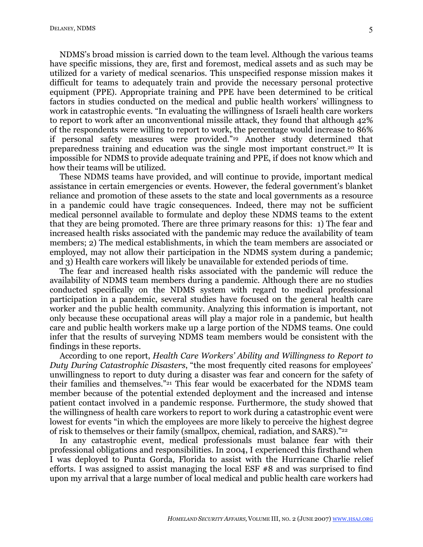NDMS's broad mission is carried down to the team level. Although the various teams have specific missions, they are, first and foremost, medical assets and as such may be utilized for a variety of medical scenarios. This unspecified response mission makes it difficult for teams to adequately train and provide the necessary personal protective equipment (PPE). Appropriate training and PPE have been determined to be critical factors in studies conducted on the medical and public health workers' willingness to work in catastrophic events. "In evaluating the willingness of Israeli health care workers to report to work after an unconventional missile attack, they found that although 42% of the respondents were willing to report to work, the percentage would increase to 86% if personal safety measures were provided."19 Another study determined that preparedness training and education was the single most important construct. <sup>20</sup> It is impossible for NDMS to provide adequate training and PPE, if does not know which and how their teams will be utilized.

These NDMS teams have provided, and will continue to provide, important medical assistance in certain emergencies or events. However, the federal government's blanket reliance and promotion of these assets to the state and local governments as a resource in a pandemic could have tragic consequences. Indeed, there may not be sufficient medical personnel available to formulate and deploy these NDMS teams to the extent that they are being promoted. There are three primary reasons for this: 1) The fear and increased health risks associated with the pandemic may reduce the availability of team members; 2) The medical establishments, in which the team members are associated or employed, may not allow their participation in the NDMS system during a pandemic; and 3) Health care workers will likely be unavailable for extended periods of time.

The fear and increased health risks associated with the pandemic will reduce the availability of NDMS team members during a pandemic. Although there are no studies conducted specifically on the NDMS system with regard to medical professional participation in a pandemic, several studies have focused on the general health care worker and the public health community. Analyzing this information is important, not only because these occupational areas will play a major role in a pandemic, but health care and public health workers make up a large portion of the NDMS teams. One could infer that the results of surveying NDMS team members would be consistent with the findings in these reports.

According to one report, *Health Care Workers' Ability and Willingness to Report to Duty During Catastrophic Disasters*, "the most frequently cited reasons for employees' unwillingness to report to duty during a disaster was fear and concern for the safety of their families and themselves."21 This fear would be exacerbated for the NDMS team member because of the potential extended deployment and the increased and intense patient contact involved in a pandemic response. Furthermore, the study showed that the willingness of health care workers to report to work during a catastrophic event were lowest for events "in which the employees are more likely to perceive the highest degree of risk to themselves or their family (smallpox, chemical, radiation, and SARS)."22

In any catastrophic event, medical professionals must balance fear with their professional obligations and responsibilities. In 2004, I experienced this firsthand when I was deployed to Punta Gorda, Florida to assist with the Hurricane Charlie relief efforts. I was assigned to assist managing the local ESF #8 and was surprised to find upon my arrival that a large number of local medical and public health care workers had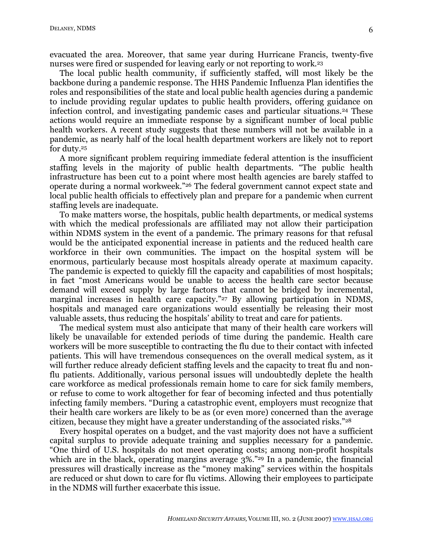evacuated the area. Moreover, that same year during Hurricane Francis, twenty-five nurses were fired or suspended for leaving early or not reporting to work.23

The local public health community, if sufficiently staffed, will most likely be the backbone during a pandemic response. The HHS Pandemic Influenza Plan identifies the roles and responsibilities of the state and local public health agencies during a pandemic to include providing regular updates to public health providers, offering guidance on infection control, and investigating pandemic cases and particular situations.24 These actions would require an immediate response by a significant number of local public health workers. A recent study suggests that these numbers will not be available in a pandemic, as nearly half of the local health department workers are likely not to report for duty. 25

A more significant problem requiring immediate federal attention is the insufficient staffing levels in the majority of public health departments. "The public health infrastructure has been cut to a point where most health agencies are barely staffed to operate during a normal workweek."26 The federal government cannot expect state and local public health officials to effectively plan and prepare for a pandemic when current staffing levels are inadequate.

To make matters worse, the hospitals, public health departments, or medical systems with which the medical professionals are affiliated may not allow their participation within NDMS system in the event of a pandemic. The primary reasons for that refusal would be the anticipated exponential increase in patients and the reduced health care workforce in their own communities. The impact on the hospital system will be enormous, particularly because most hospitals already operate at maximum capacity. The pandemic is expected to quickly fill the capacity and capabilities of most hospitals; in fact "most Americans would be unable to access the health care sector because demand will exceed supply by large factors that cannot be bridged by incremental, marginal increases in health care capacity."<sup>27</sup> By allowing participation in NDMS, hospitals and managed care organizations would essentially be releasing their most valuable assets, thus reducing the hospitals' ability to treat and care for patients.

The medical system must also anticipate that many of their health care workers will likely be unavailable for extended periods of time during the pandemic. Health care workers will be more susceptible to contracting the flu due to their contact with infected patients. This will have tremendous consequences on the overall medical system, as it will further reduce already deficient staffing levels and the capacity to treat flu and nonflu patients. Additionally, various personal issues will undoubtedly deplete the health care workforce as medical professionals remain home to care for sick family members, or refuse to come to work altogether for fear of becoming infected and thus potentially infecting family members. "During a catastrophic event, employers must recognize that their health care workers are likely to be as (or even more) concerned than the average citizen, because they might have a greater understanding of the associated risks."28

Every hospital operates on a budget, and the vast majority does not have a sufficient capital surplus to provide adequate training and supplies necessary for a pandemic. "One third of U.S. hospitals do not meet operating costs; among non-profit hospitals which are in the black, operating margins average  $3\%$ ."<sup>29</sup> In a pandemic, the financial pressures will drastically increase as the "money making" services within the hospitals are reduced or shut down to care for flu victims. Allowing their employees to participate in the NDMS will further exacerbate this issue.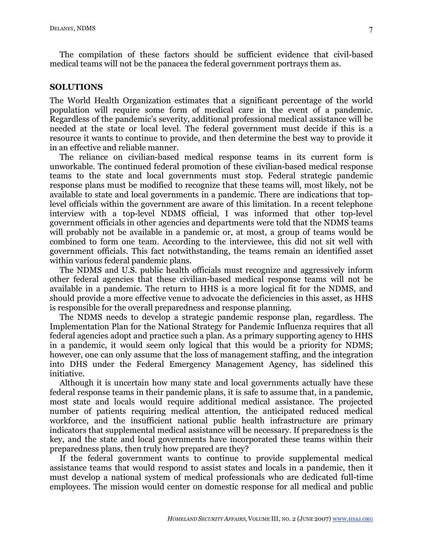The compilation of these factors should be sufficient evidence that civil-based medical teams will not be the panacea the federal government portrays them as.

#### **SOLUTIONS**

The World Health Organization estimates that a significant percentage of the world population will require some form of medical care in the event of a pandemic. Regardless of the pandemic's severity, additional professional medical assistance will be needed at the state or local level. The federal government must decide if this is a resource it wants to continue to provide, and then determine the best way to provide it in an effective and reliable manner.

The reliance on civilian-based medical response teams in its current form is unworkable. The continued federal promotion of these civilian-based medical response teams to the state and local governments must stop. Federal strategic pandemic response plans must be modified to recognize that these teams will, most likely, not be available to state and local governments in a pandemic. There are indications that toplevel officials within the government are aware of this limitation. In a recent telephone interview with a top-level NDMS official, I was informed that other top-level government officials in other agencies and departments were told that the NDMS teams will probably not be available in a pandemic or, at most, a group of teams would be combined to form one team. According to the interviewee, this did not sit well with government officials. This fact notwithstanding, the teams remain an identified asset within various federal pandemic plans.

The NDMS and U.S. public health officials must recognize and aggressively inform other federal agencies that these civilian-based medical response teams will not be available in a pandemic. The return to HHS is a more logical fit for the NDMS, and should provide a more effective venue to advocate the deficiencies in this asset, as HHS is responsible for the overall preparedness and response planning.

The NDMS needs to develop a strategic pandemic response plan, regardless. The Implementation Plan for the National Strategy for Pandemic Influenza requires that all federal agencies adopt and practice such a plan. As a primary supporting agency to HHS in a pandemic, it would seem only logical that this would be a priority for NDMS; however, one can only assume that the loss of management staffing, and the integration into DHS under the Federal Emergency Management Agency, has sidelined this initiative.

Although it is uncertain how many state and local governments actually have these federal response teams in their pandemic plans, it is safe to assume that, in a pandemic, most state and locals would require additional medical assistance. The projected number of patients requiring medical attention, the anticipated reduced medical workforce, and the insufficient national public health infrastructure are primary indicators that supplemental medical assistance will be necessary. If preparedness is the key, and the state and local governments have incorporated these teams within their preparedness plans, then truly how prepared are they?

If the federal government wants to continue to provide supplemental medical assistance teams that would respond to assist states and locals in a pandemic, then it must develop a national system of medical professionals who are dedicated full-time employees. The mission would center on domestic response for all medical and public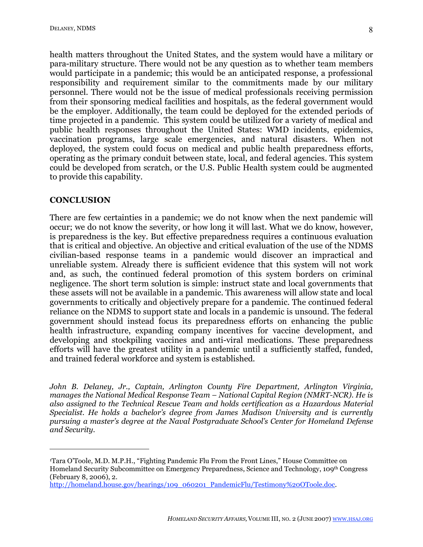8

health matters throughout the United States, and the system would have a military or para-military structure. There would not be any question as to whether team members would participate in a pandemic; this would be an anticipated response, a professional responsibility and requirement similar to the commitments made by our military personnel. There would not be the issue of medical professionals receiving permission from their sponsoring medical facilities and hospitals, as the federal government would be the employer. Additionally, the team could be deployed for the extended periods of time projected in a pandemic. This system could be utilized for a variety of medical and public health responses throughout the United States: WMD incidents, epidemics, vaccination programs, large scale emergencies, and natural disasters. When not deployed, the system could focus on medical and public health preparedness efforts, operating as the primary conduit between state, local, and federal agencies. This system could be developed from scratch, or the U.S. Public Health system could be augmented to provide this capability.

# **CONCLUSION**

 $\overline{a}$ 

There are few certainties in a pandemic; we do not know when the next pandemic will occur; we do not know the severity, or how long it will last. What we do know, however, is preparedness is the key. But effective preparedness requires a continuous evaluation that is critical and objective. An objective and critical evaluation of the use of the NDMS civilian-based response teams in a pandemic would discover an impractical and unreliable system. Already there is sufficient evidence that this system will not work and, as such, the continued federal promotion of this system borders on criminal negligence. The short term solution is simple: instruct state and local governments that these assets will not be available in a pandemic. This awareness will allow state and local governments to critically and objectively prepare for a pandemic. The continued federal reliance on the NDMS to support state and locals in a pandemic is unsound. The federal government should instead focus its preparedness efforts on enhancing the public health infrastructure, expanding company incentives for vaccine development, and developing and stockpiling vaccines and anti-viral medications. These preparedness efforts will have the greatest utility in a pandemic until a sufficiently staffed, funded, and trained federal workforce and system is established.

*John B. Delaney, Jr., Captain, Arlington County Fire Department, Arlington Virginia, manages the National Medical Response Team – National Capital Region (NMRT-NCR). He is also assigned to the Technical Rescue Team and holds certification as a Hazardous Material Specialist. He holds a bachelor's degree from James Madison University and is currently pursuing a master's degree at the Naval Postgraduate School's Center for Homeland Defense and Security.*

<sup>1</sup>Tara O'Toole, M.D. M.P.H., "Fighting Pandemic Flu From the Front Lines," House Committee on Homeland Security Subcommittee on Emergency Preparedness, Science and Technology, 109th Congress (February 8, 2006), 2.

http://homeland.house.gov/hearings/109\_060201\_PandemicFlu/Testimony%20OToole.doc.